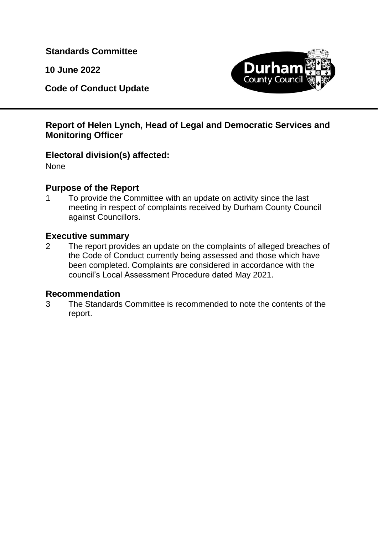**Standards Committee**

**10 June 2022**

**Code of Conduct Update**



## **Report of Helen Lynch, Head of Legal and Democratic Services and Monitoring Officer**

# **Electoral division(s) affected:**

None

## **Purpose of the Report**

1 To provide the Committee with an update on activity since the last meeting in respect of complaints received by Durham County Council against Councillors.

## **Executive summary**

2 The report provides an update on the complaints of alleged breaches of the Code of Conduct currently being assessed and those which have been completed. Complaints are considered in accordance with the council's Local Assessment Procedure dated May 2021.

## **Recommendation**

3 The Standards Committee is recommended to note the contents of the report.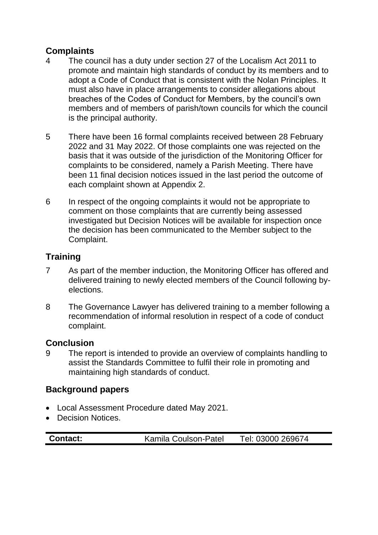# **Complaints**

- 4 The council has a duty under section 27 of the Localism Act 2011 to promote and maintain high standards of conduct by its members and to adopt a Code of Conduct that is consistent with the Nolan Principles. It must also have in place arrangements to consider allegations about breaches of the Codes of Conduct for Members, by the council's own members and of members of parish/town councils for which the council is the principal authority.
- 5 There have been 16 formal complaints received between 28 February 2022 and 31 May 2022. Of those complaints one was rejected on the basis that it was outside of the jurisdiction of the Monitoring Officer for complaints to be considered, namely a Parish Meeting. There have been 11 final decision notices issued in the last period the outcome of each complaint shown at Appendix 2.
- 6 In respect of the ongoing complaints it would not be appropriate to comment on those complaints that are currently being assessed investigated but Decision Notices will be available for inspection once the decision has been communicated to the Member subject to the Complaint.

# **Training**

- 7 As part of the member induction, the Monitoring Officer has offered and delivered training to newly elected members of the Council following byelections.
- 8 The Governance Lawyer has delivered training to a member following a recommendation of informal resolution in respect of a code of conduct complaint.

## **Conclusion**

9 The report is intended to provide an overview of complaints handling to assist the Standards Committee to fulfil their role in promoting and maintaining high standards of conduct.

## **Background papers**

- Local Assessment Procedure dated May 2021.
- Decision Notices.

| <b>Contact:</b> | Kamila Coulson-Patel | Tel: 03000 269674 |
|-----------------|----------------------|-------------------|
|-----------------|----------------------|-------------------|